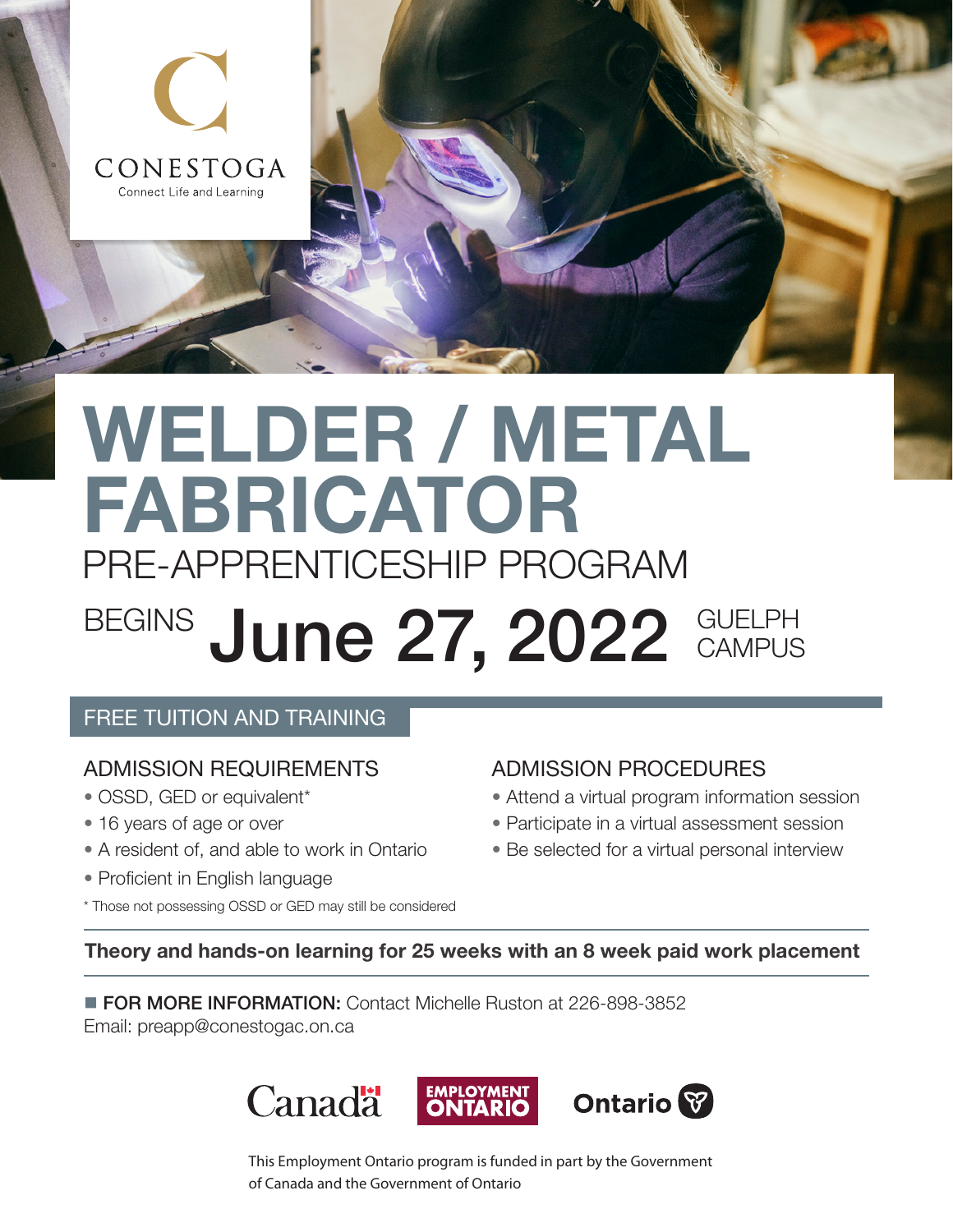

# WELDER / METAL FABRICATOR PRE-APPRENTICESHIP PROGRAM

# BEGINS June 27, 2022 GUELPH **CAMPUS**

# FREE TUITION AND TRAINING

# ADMISSION REQUIREMENTS

- OSSD, GED or equivalent\*
- 16 years of age or over
- A resident of, and able to work in Ontario
- Proficient in English language
- \* Those not possessing OSSD or GED may still be considered

# ADMISSION PROCEDURES

- Attend a virtual program information session
- Participate in a virtual assessment session
- Be selected for a virtual personal interview

Theory and hands-on learning for 25 weeks with an 8 week paid work placement

**FOR MORE INFORMATION:** Contact Michelle Ruston at 226-898-3852 Email: [preapp@conestogac.on.ca](mailto:preapp%40conestogac.on.ca?subject=)



This Employment Ontario program is funded in part by the Government of Canada and the Government of Ontario